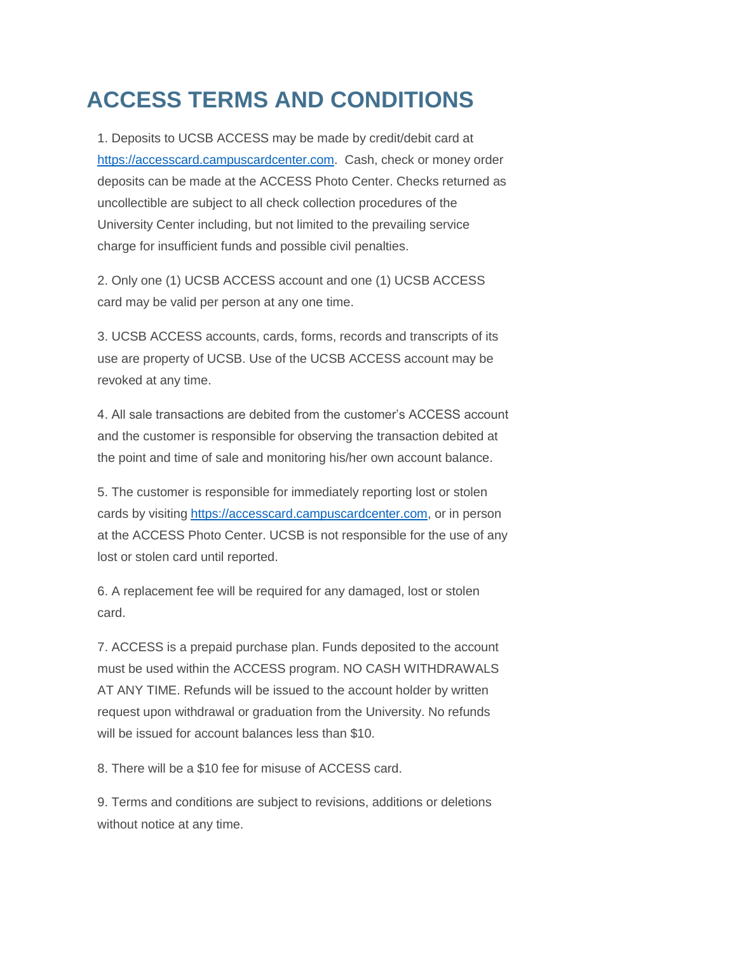## **ACCESS TERMS AND CONDITIONS**

1. Deposits to UCSB ACCESS may be made by credit/debit card at [https://accesscard.campuscardcenter.com.](https://accesscard.campuscardcenter.com/) Cash, check or money order deposits can be made at the ACCESS Photo Center. Checks returned as uncollectible are subject to all check collection procedures of the University Center including, but not limited to the prevailing service charge for insufficient funds and possible civil penalties.

2. Only one (1) UCSB ACCESS account and one (1) UCSB ACCESS card may be valid per person at any one time.

3. UCSB ACCESS accounts, cards, forms, records and transcripts of its use are property of UCSB. Use of the UCSB ACCESS account may be revoked at any time.

4. All sale transactions are debited from the customer's ACCESS account and the customer is responsible for observing the transaction debited at the point and time of sale and monitoring his/her own account balance.

5. The customer is responsible for immediately reporting lost or stolen cards by visiting [https://accesscard.campuscardcenter.com,](https://accesscard.campuscardcenter.com/) or in person at the ACCESS Photo Center. UCSB is not responsible for the use of any lost or stolen card until reported.

6. A replacement fee will be required for any damaged, lost or stolen card.

7. ACCESS is a prepaid purchase plan. Funds deposited to the account must be used within the ACCESS program. NO CASH WITHDRAWALS AT ANY TIME. Refunds will be issued to the account holder by written request upon withdrawal or graduation from the University. No refunds will be issued for account balances less than \$10.

8. There will be a \$10 fee for misuse of ACCESS card.

9. Terms and conditions are subject to revisions, additions or deletions without notice at any time.